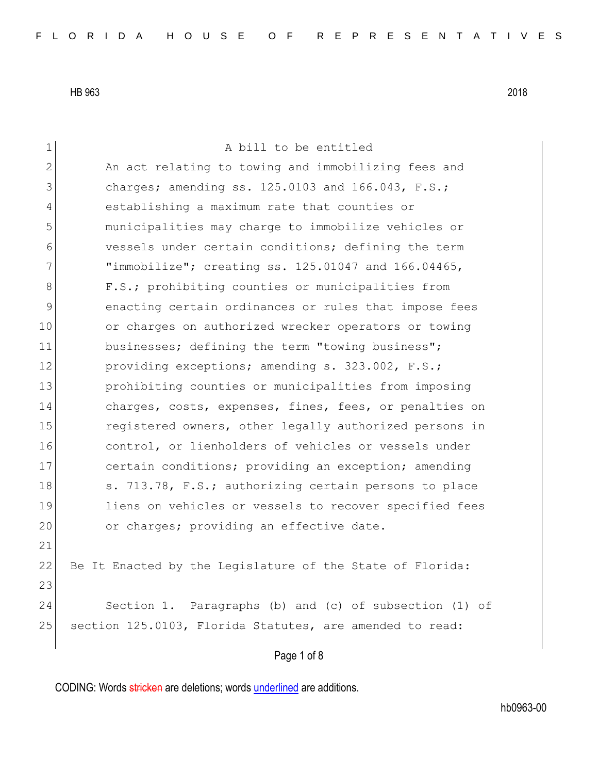Page 1 of 8 1 a bill to be entitled 2 An act relating to towing and immobilizing fees and 3 charges; amending ss. 125.0103 and 166.043, F.S.; 4 establishing a maximum rate that counties or 5 municipalities may charge to immobilize vehicles or 6 vessels under certain conditions; defining the term 7 "immobilize"; creating ss. 125.01047 and 166.04465, 8 F.S.; prohibiting counties or municipalities from 9 9 enacting certain ordinances or rules that impose fees 10 or charges on authorized wrecker operators or towing 11 businesses; defining the term "towing business"; 12 providing exceptions; amending s. 323.002, F.S.; 13 prohibiting counties or municipalities from imposing 14 charges, costs, expenses, fines, fees, or penalties on 15 15 registered owners, other legally authorized persons in 16 control, or lienholders of vehicles or vessels under 17 certain conditions; providing an exception; amending 18 s. 713.78, F.S.; authorizing certain persons to place 19 liens on vehicles or vessels to recover specified fees 20 or charges; providing an effective date. 21 22 Be It Enacted by the Legislature of the State of Florida: 23 24 Section 1. Paragraphs (b) and (c) of subsection (1) of 25 section 125.0103, Florida Statutes, are amended to read:

CODING: Words stricken are deletions; words underlined are additions.

hb0963-00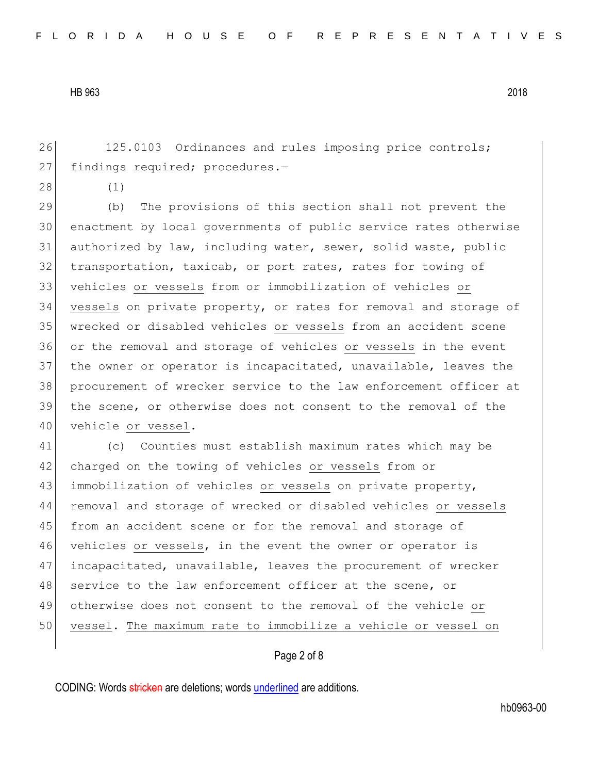26 125.0103 Ordinances and rules imposing price controls; 27 findings required; procedures.-

28 (1)

 (b) The provisions of this section shall not prevent the enactment by local governments of public service rates otherwise authorized by law, including water, sewer, solid waste, public 32 transportation, taxicab, or port rates, rates for towing of vehicles or vessels from or immobilization of vehicles or vessels on private property, or rates for removal and storage of wrecked or disabled vehicles or vessels from an accident scene or the removal and storage of vehicles or vessels in the event the owner or operator is incapacitated, unavailable, leaves the procurement of wrecker service to the law enforcement officer at the scene, or otherwise does not consent to the removal of the 40 vehicle or vessel.

41 (c) Counties must establish maximum rates which may be 42 charged on the towing of vehicles or vessels from or 43 immobilization of vehicles or vessels on private property, 44 removal and storage of wrecked or disabled vehicles or vessels 45 from an accident scene or for the removal and storage of 46 vehicles or vessels, in the event the owner or operator is 47 incapacitated, unavailable, leaves the procurement of wrecker 48 service to the law enforcement officer at the scene, or 49 otherwise does not consent to the removal of the vehicle or 50 vessel. The maximum rate to immobilize a vehicle or vessel on

### Page 2 of 8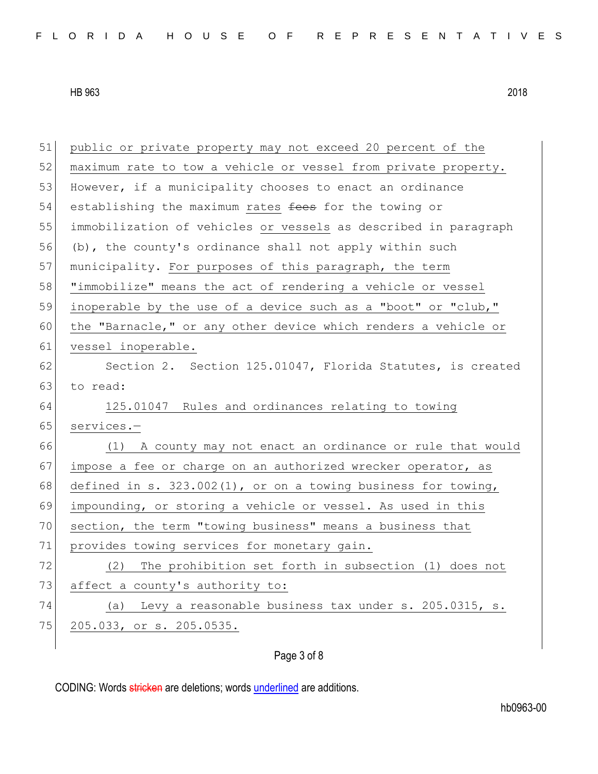51 public or private property may not exceed 20 percent of the 52 maximum rate to tow a vehicle or vessel from private property. 53 However, if a municipality chooses to enact an ordinance 54 establishing the maximum rates fees for the towing or 55 immobilization of vehicles or vessels as described in paragraph 56 (b), the county's ordinance shall not apply within such 57 municipality. For purposes of this paragraph, the term 58 "immobilize" means the act of rendering a vehicle or vessel 59 inoperable by the use of a device such as a "boot" or "club," 60 the "Barnacle," or any other device which renders a vehicle or 61 vessel inoperable. 62 Section 2. Section 125.01047, Florida Statutes, is created 63 to read: 64 125.01047 Rules and ordinances relating to towing 65 services.-66 (1) A county may not enact an ordinance or rule that would 67 impose a fee or charge on an authorized wrecker operator, as 68 defined in s. 323.002(1), or on a towing business for towing, 69 impounding, or storing a vehicle or vessel. As used in this 70 section, the term "towing business" means a business that 71 provides towing services for monetary gain. 72 (2) The prohibition set forth in subsection (1) does not 73 affect a county's authority to: 74 (a) Levy a reasonable business tax under s. 205.0315, s. 75 205.033, or s. 205.0535.

Page 3 of 8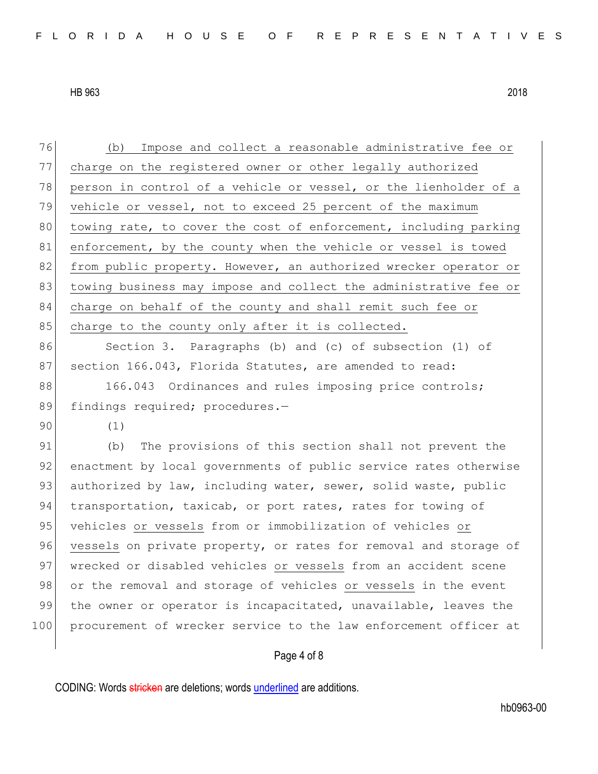76 (b) Impose and collect a reasonable administrative fee or 77 charge on the registered owner or other legally authorized 78 person in control of a vehicle or vessel, or the lienholder of a 79 vehicle or vessel, not to exceed 25 percent of the maximum 80 towing rate, to cover the cost of enforcement, including parking 81 enforcement, by the county when the vehicle or vessel is towed 82 from public property. However, an authorized wrecker operator or 83 towing business may impose and collect the administrative fee or 84 charge on behalf of the county and shall remit such fee or 85 charge to the county only after it is collected. 86 Section 3. Paragraphs (b) and (c) of subsection (1) of 87 section 166.043, Florida Statutes, are amended to read: 88 166.043 Ordinances and rules imposing price controls; 89 findings required; procedures.-90 (1) 91 (b) The provisions of this section shall not prevent the 92 enactment by local governments of public service rates otherwise 93 authorized by law, including water, sewer, solid waste, public 94 transportation, taxicab, or port rates, rates for towing of 95 vehicles or vessels from or immobilization of vehicles or 96 vessels on private property, or rates for removal and storage of 97 wrecked or disabled vehicles or vessels from an accident scene 98 or the removal and storage of vehicles or vessels in the event 99 the owner or operator is incapacitated, unavailable, leaves the 100 procurement of wrecker service to the law enforcement officer at

## Page 4 of 8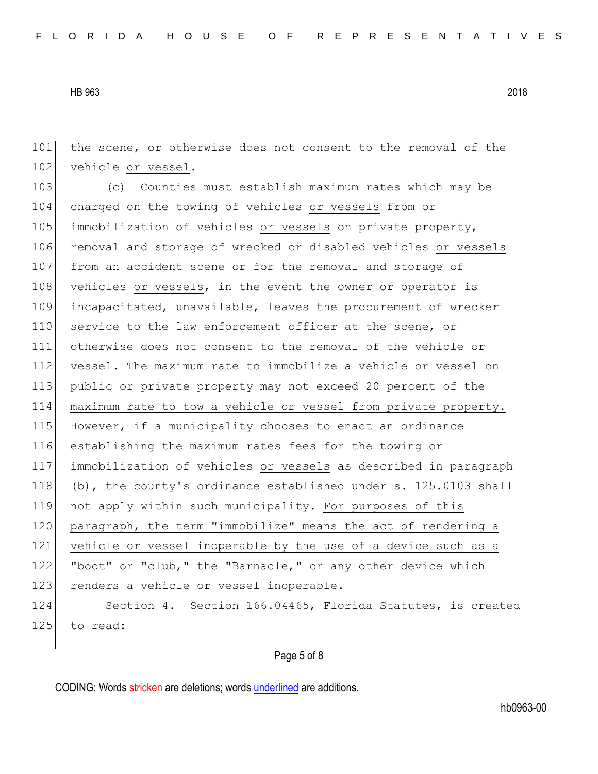101 the scene, or otherwise does not consent to the removal of the 102 vehicle or vessel.

103 (c) Counties must establish maximum rates which may be 104 charged on the towing of vehicles or vessels from or 105 immobilization of vehicles or vessels on private property, 106 removal and storage of wrecked or disabled vehicles or vessels 107 from an accident scene or for the removal and storage of 108 vehicles or vessels, in the event the owner or operator is 109 incapacitated, unavailable, leaves the procurement of wrecker 110 service to the law enforcement officer at the scene, or 111 otherwise does not consent to the removal of the vehicle or 112 vessel. The maximum rate to immobilize a vehicle or vessel on 113 public or private property may not exceed 20 percent of the 114 maximum rate to tow a vehicle or vessel from private property. 115 However, if a municipality chooses to enact an ordinance 116 establishing the maximum rates fees for the towing or 117 immobilization of vehicles or vessels as described in paragraph 118 (b), the county's ordinance established under s. 125.0103 shall 119 not apply within such municipality. For purposes of this 120 paragraph, the term "immobilize" means the act of rendering a 121 vehicle or vessel inoperable by the use of a device such as a 122 "boot" or "club," the "Barnacle," or any other device which 123 renders a vehicle or vessel inoperable. 124 Section 4. Section 166.04465, Florida Statutes, is created 125 to read:

# Page 5 of 8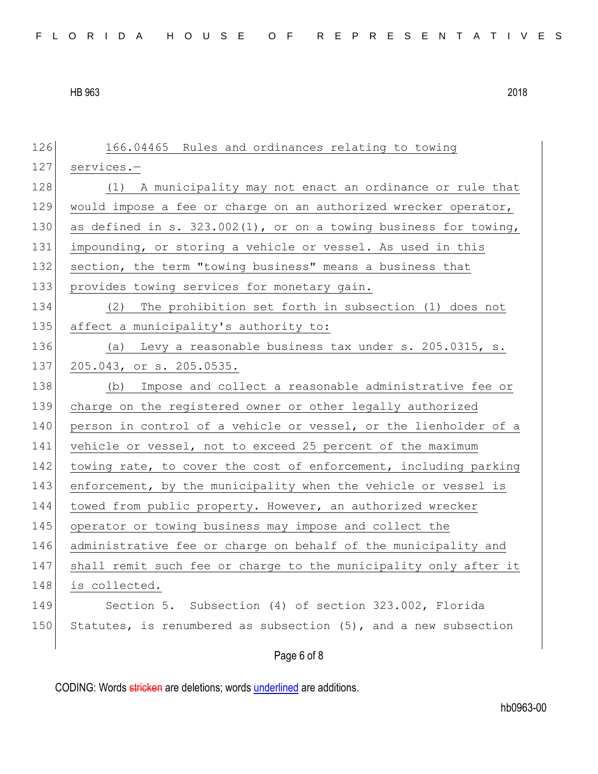126 166.04465 Rules and ordinances relating to towing 127 services.-128 (1) A municipality may not enact an ordinance or rule that 129 would impose a fee or charge on an authorized wrecker operator, 130 as defined in s. 323.002(1), or on a towing business for towing, 131 impounding, or storing a vehicle or vessel. As used in this 132 section, the term "towing business" means a business that 133 provides towing services for monetary gain. 134 (2) The prohibition set forth in subsection (1) does not 135 affect a municipality's authority to: 136 (a) Levy a reasonable business tax under s. 205.0315, s. 137 205.043, or s. 205.0535. 138 (b) Impose and collect a reasonable administrative fee or 139 charge on the registered owner or other legally authorized 140 person in control of a vehicle or vessel, or the lienholder of a 141 vehicle or vessel, not to exceed 25 percent of the maximum 142 towing rate, to cover the cost of enforcement, including parking 143 enforcement, by the municipality when the vehicle or vessel is 144 towed from public property. However, an authorized wrecker 145 operator or towing business may impose and collect the 146 administrative fee or charge on behalf of the municipality and 147 shall remit such fee or charge to the municipality only after it 148 is collected. 149 Section 5. Subsection (4) of section 323.002, Florida 150 Statutes, is renumbered as subsection  $(5)$ , and a new subsection

Page 6 of 8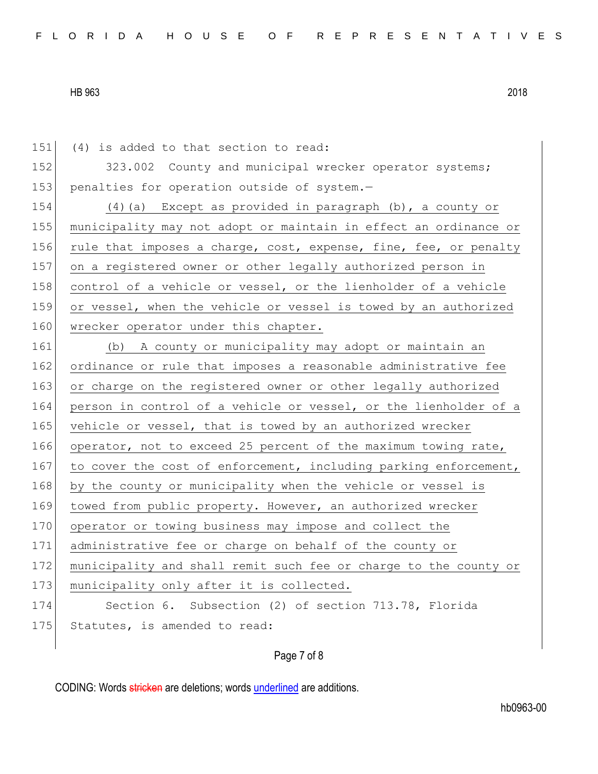151 (4) is added to that section to read: 152 323.002 County and municipal wrecker operator systems; 153 penalties for operation outside of system.-154 (4)(a) Except as provided in paragraph (b), a county or 155 municipality may not adopt or maintain in effect an ordinance or 156 rule that imposes a charge, cost, expense, fine, fee, or penalty 157 on a registered owner or other legally authorized person in 158 control of a vehicle or vessel, or the lienholder of a vehicle 159 or vessel, when the vehicle or vessel is towed by an authorized 160 wrecker operator under this chapter. 161 (b) A county or municipality may adopt or maintain an 162 ordinance or rule that imposes a reasonable administrative fee 163 or charge on the registered owner or other legally authorized 164 person in control of a vehicle or vessel, or the lienholder of a 165 vehicle or vessel, that is towed by an authorized wrecker 166 operator, not to exceed 25 percent of the maximum towing rate, 167 to cover the cost of enforcement, including parking enforcement, 168 by the county or municipality when the vehicle or vessel is 169 towed from public property. However, an authorized wrecker 170 operator or towing business may impose and collect the 171 administrative fee or charge on behalf of the county or 172 municipality and shall remit such fee or charge to the county or 173 municipality only after it is collected. 174 Section 6. Subsection (2) of section 713.78, Florida 175 Statutes, is amended to read:

## Page 7 of 8